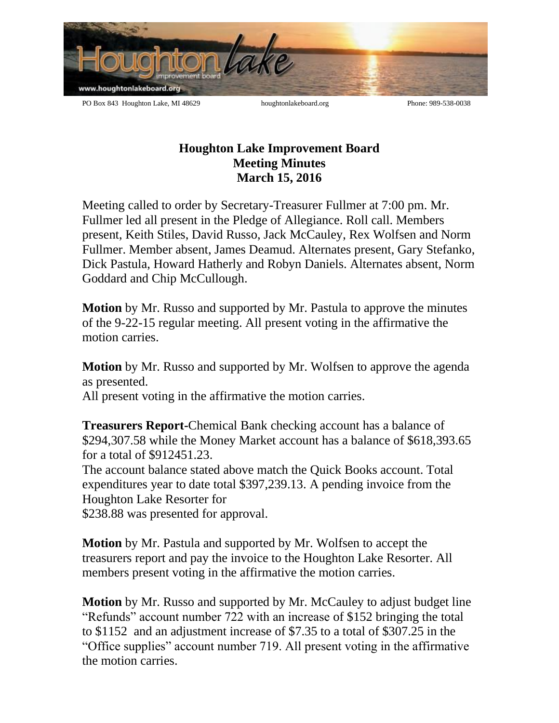

## **Houghton Lake Improvement Board Meeting Minutes March 15, 2016**

Meeting called to order by Secretary-Treasurer Fullmer at 7:00 pm. Mr. Fullmer led all present in the Pledge of Allegiance. Roll call. Members present, Keith Stiles, David Russo, Jack McCauley, Rex Wolfsen and Norm Fullmer. Member absent, James Deamud. Alternates present, Gary Stefanko, Dick Pastula, Howard Hatherly and Robyn Daniels. Alternates absent, Norm Goddard and Chip McCullough.

**Motion** by Mr. Russo and supported by Mr. Pastula to approve the minutes of the 9-22-15 regular meeting. All present voting in the affirmative the motion carries.

**Motion** by Mr. Russo and supported by Mr. Wolfsen to approve the agenda as presented.

All present voting in the affirmative the motion carries.

**Treasurers Report-**Chemical Bank checking account has a balance of \$294,307.58 while the Money Market account has a balance of \$618,393.65 for a total of \$912451.23.

The account balance stated above match the Quick Books account. Total expenditures year to date total \$397,239.13. A pending invoice from the Houghton Lake Resorter for

\$238.88 was presented for approval.

**Motion** by Mr. Pastula and supported by Mr. Wolfsen to accept the treasurers report and pay the invoice to the Houghton Lake Resorter. All members present voting in the affirmative the motion carries.

**Motion** by Mr. Russo and supported by Mr. McCauley to adjust budget line "Refunds" account number 722 with an increase of \$152 bringing the total to \$1152 and an adjustment increase of \$7.35 to a total of \$307.25 in the "Office supplies" account number 719. All present voting in the affirmative the motion carries.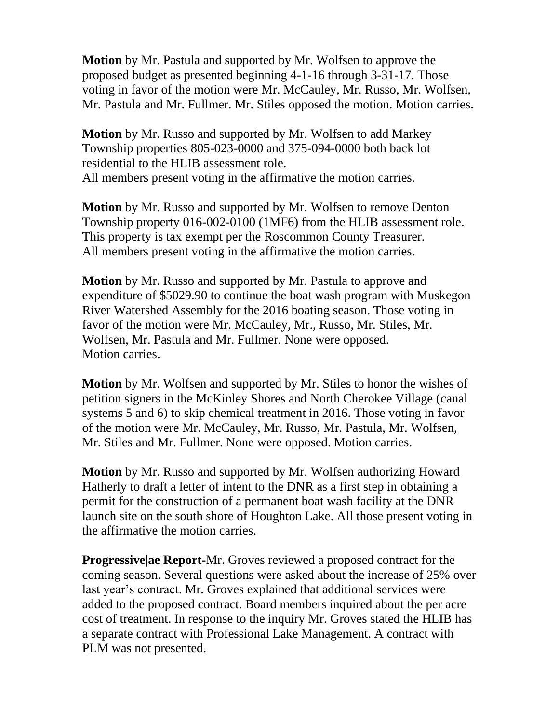**Motion** by Mr. Pastula and supported by Mr. Wolfsen to approve the proposed budget as presented beginning 4-1-16 through 3-31-17. Those voting in favor of the motion were Mr. McCauley, Mr. Russo, Mr. Wolfsen, Mr. Pastula and Mr. Fullmer. Mr. Stiles opposed the motion. Motion carries.

**Motion** by Mr. Russo and supported by Mr. Wolfsen to add Markey Township properties 805-023-0000 and 375-094-0000 both back lot residential to the HLIB assessment role. All members present voting in the affirmative the motion carries.

**Motion** by Mr. Russo and supported by Mr. Wolfsen to remove Denton Township property 016-002-0100 (1MF6) from the HLIB assessment role. This property is tax exempt per the Roscommon County Treasurer. All members present voting in the affirmative the motion carries.

**Motion** by Mr. Russo and supported by Mr. Pastula to approve and expenditure of \$5029.90 to continue the boat wash program with Muskegon River Watershed Assembly for the 2016 boating season. Those voting in favor of the motion were Mr. McCauley, Mr., Russo, Mr. Stiles, Mr. Wolfsen, Mr. Pastula and Mr. Fullmer. None were opposed. Motion carries.

**Motion** by Mr. Wolfsen and supported by Mr. Stiles to honor the wishes of petition signers in the McKinley Shores and North Cherokee Village (canal systems 5 and 6) to skip chemical treatment in 2016. Those voting in favor of the motion were Mr. McCauley, Mr. Russo, Mr. Pastula, Mr. Wolfsen, Mr. Stiles and Mr. Fullmer. None were opposed. Motion carries.

**Motion** by Mr. Russo and supported by Mr. Wolfsen authorizing Howard Hatherly to draft a letter of intent to the DNR as a first step in obtaining a permit for the construction of a permanent boat wash facility at the DNR launch site on the south shore of Houghton Lake. All those present voting in the affirmative the motion carries.

**Progressive|ae Report-**Mr. Groves reviewed a proposed contract for the coming season. Several questions were asked about the increase of 25% over last year's contract. Mr. Groves explained that additional services were added to the proposed contract. Board members inquired about the per acre cost of treatment. In response to the inquiry Mr. Groves stated the HLIB has a separate contract with Professional Lake Management. A contract with PLM was not presented.